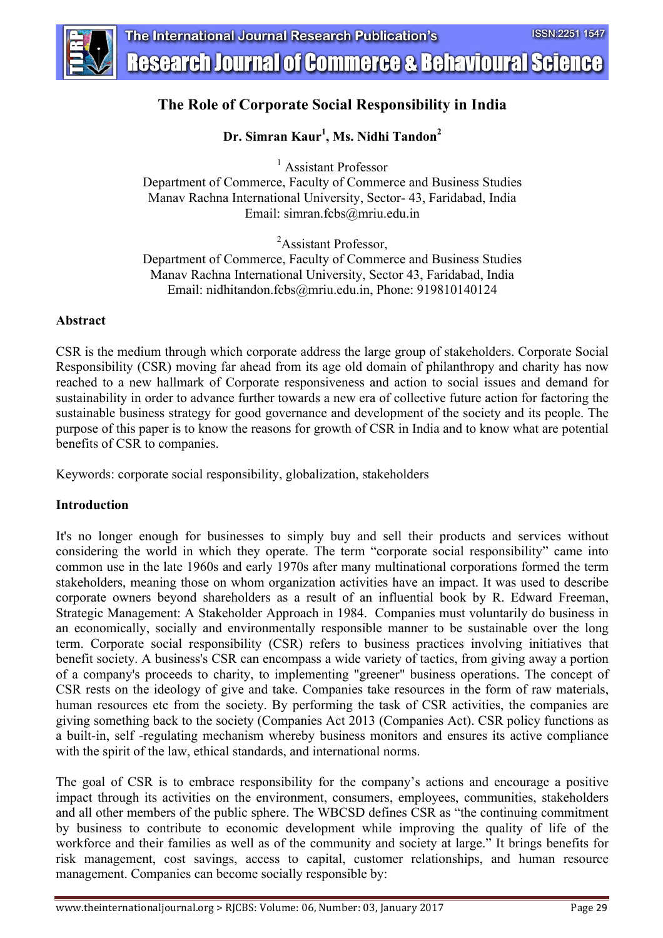

## **The Role of Corporate Social Responsibility in India**

## **Dr. Simran Kaur1 , Ms. Nidhi Tandon2**

<sup>1</sup> Assistant Professor Department of Commerce, Faculty of Commerce and Business Studies Manav Rachna International University, Sector- 43, Faridabad, India Email: simran.fcbs@mriu.edu.in

<sup>2</sup>Assistant Professor,

Department of Commerce, Faculty of Commerce and Business Studies Manav Rachna International University, Sector 43, Faridabad, India Email: nidhitandon.fcbs@mriu.edu.in, Phone: 919810140124

### **Abstract**

CSR is the medium through which corporate address the large group of stakeholders. Corporate Social Responsibility (CSR) moving far ahead from its age old domain of philanthropy and charity has now reached to a new hallmark of Corporate responsiveness and action to social issues and demand for sustainability in order to advance further towards a new era of collective future action for factoring the sustainable business strategy for good governance and development of the society and its people. The purpose of this paper is to know the reasons for growth of CSR in India and to know what are potential benefits of CSR to companies.

Keywords: corporate social responsibility, globalization, stakeholders

### **Introduction**

It's no longer enough for businesses to simply buy and sell their products and services without considering the world in which they operate. The term "corporate social responsibility" came into common use in the late 1960s and early 1970s after many multinational corporations formed the term stakeholders, meaning those on whom organization activities have an impact. It was used to describe corporate owners beyond shareholders as a result of an influential book by R. Edward Freeman, Strategic Management: A Stakeholder Approach in 1984. Companies must voluntarily do business in an economically, socially and environmentally responsible manner to be sustainable over the long term. Corporate social responsibility (CSR) refers to business practices involving initiatives that benefit society. A business's CSR can encompass a wide variety of tactics, from giving away a portion of a company's proceeds to charity, to implementing "greener" business operations. The concept of CSR rests on the ideology of give and take. Companies take resources in the form of raw materials, human resources etc from the society. By performing the task of CSR activities, the companies are giving something back to the society (Companies Act 2013 (Companies Act). CSR policy functions as a built-in, self -regulating mechanism whereby business monitors and ensures its active compliance with the spirit of the law, ethical standards, and international norms.

The goal of CSR is to embrace responsibility for the company's actions and encourage a positive impact through its activities on the environment, consumers, employees, communities, stakeholders and all other members of the public sphere. The WBCSD defines CSR as "the continuing commitment by business to contribute to economic development while improving the quality of life of the workforce and their families as well as of the community and society at large." It brings benefits for risk management, cost savings, access to capital, customer relationships, and human resource management. Companies can become socially responsible by: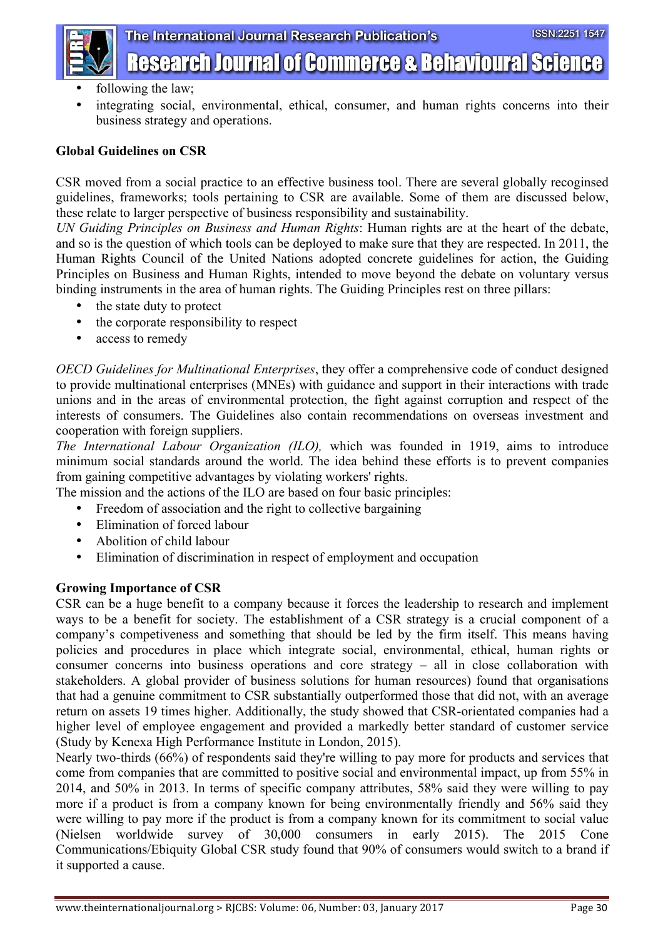

The International Journal Research Publication's

- **Research Journal of Commerce & Behavioural Science**
- following the law;
- integrating social, environmental, ethical, consumer, and human rights concerns into their business strategy and operations.

### **Global Guidelines on CSR**

CSR moved from a social practice to an effective business tool. There are several globally recoginsed guidelines, frameworks; tools pertaining to CSR are available. Some of them are discussed below, these relate to larger perspective of business responsibility and sustainability.

*UN Guiding Principles on Business and Human Rights*: Human rights are at the heart of the debate, and so is the question of which tools can be deployed to make sure that they are respected. In 2011, the Human Rights Council of the United Nations adopted concrete guidelines for action, the Guiding Principles on Business and Human Rights, intended to move beyond the debate on voluntary versus binding instruments in the area of human rights. The Guiding Principles rest on three pillars:

- the state duty to protect
- the corporate responsibility to respect
- access to remedy

*OECD Guidelines for Multinational Enterprises*, they offer a comprehensive code of conduct designed to provide multinational enterprises (MNEs) with guidance and support in their interactions with trade unions and in the areas of environmental protection, the fight against corruption and respect of the interests of consumers. The Guidelines also contain recommendations on overseas investment and cooperation with foreign suppliers.

*The International Labour Organization (ILO),* which was founded in 1919, aims to introduce minimum social standards around the world. The idea behind these efforts is to prevent companies from gaining competitive advantages by violating workers' rights.

The mission and the actions of the ILO are based on four basic principles:

- Freedom of association and the right to collective bargaining
- Elimination of forced labour
- Abolition of child labour
- Elimination of discrimination in respect of employment and occupation

## **Growing Importance of CSR**

CSR can be a huge benefit to a company because it forces the leadership to research and implement ways to be a benefit for society. The establishment of a CSR strategy is a crucial component of a company's competiveness and something that should be led by the firm itself. This means having policies and procedures in place which integrate social, environmental, ethical, human rights or consumer concerns into business operations and core strategy – all in close collaboration with stakeholders. A global provider of business solutions for human resources) found that organisations that had a genuine commitment to CSR substantially outperformed those that did not, with an average return on assets 19 times higher. Additionally, the study showed that CSR-orientated companies had a higher level of employee engagement and provided a markedly better standard of customer service (Study by Kenexa High Performance Institute in London, 2015).

Nearly two-thirds (66%) of respondents said they're willing to pay more for products and services that come from companies that are committed to positive social and environmental impact, up from 55% in 2014, and 50% in 2013. In terms of specific company attributes, 58% said they were willing to pay more if a product is from a company known for being environmentally friendly and 56% said they were willing to pay more if the product is from a company known for its commitment to social value (Nielsen worldwide survey of 30,000 consumers in early 2015). The 2015 Cone Communications/Ebiquity Global CSR study found that 90% of consumers would switch to a brand if it supported a cause.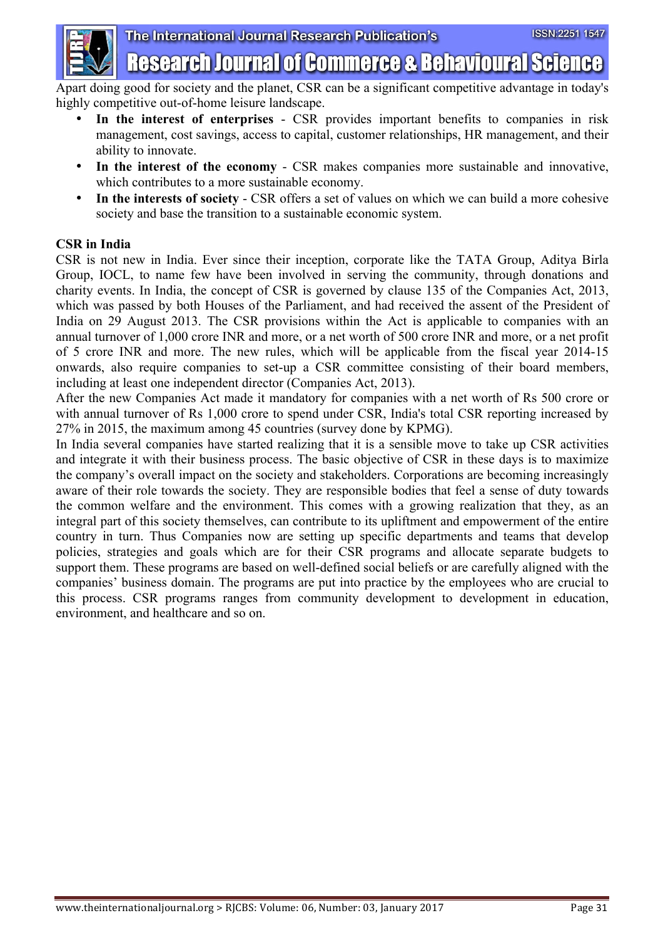

Apart doing good for society and the planet, CSR can be a significant competitive advantage in today's highly competitive out-of-home leisure landscape.

- **In the interest of enterprises** CSR provides important benefits to companies in risk management, cost savings, access to capital, customer relationships, HR management, and their ability to innovate.
- In the interest of the economy CSR makes companies more sustainable and innovative, which contributes to a more sustainable economy.
- **In the interests of society** CSR offers a set of values on which we can build a more cohesive society and base the transition to a sustainable economic system.

## **CSR in India**

CSR is not new in India. Ever since their inception, corporate like the TATA Group, Aditya Birla Group, IOCL, to name few have been involved in serving the community, through donations and charity events. In India, the concept of CSR is governed by clause 135 of the Companies Act, 2013, which was passed by both Houses of the Parliament, and had received the assent of the President of India on 29 August 2013. The CSR provisions within the Act is applicable to companies with an annual turnover of 1,000 crore INR and more, or a net worth of 500 crore INR and more, or a net profit of 5 crore INR and more. The new rules, which will be applicable from the fiscal year 2014-15 onwards, also require companies to set-up a CSR committee consisting of their board members, including at least one independent director (Companies Act, 2013).

After the new Companies Act made it mandatory for companies with a net worth of Rs 500 crore or with annual turnover of Rs 1,000 crore to spend under CSR, India's total CSR reporting increased by 27% in 2015, the maximum among 45 countries (survey done by KPMG).

In India several companies have started realizing that it is a sensible move to take up CSR activities and integrate it with their business process. The basic objective of CSR in these days is to maximize the company's overall impact on the society and stakeholders. Corporations are becoming increasingly aware of their role towards the society. They are responsible bodies that feel a sense of duty towards the common welfare and the environment. This comes with a growing realization that they, as an integral part of this society themselves, can contribute to its upliftment and empowerment of the entire country in turn. Thus Companies now are setting up specific departments and teams that develop policies, strategies and goals which are for their CSR programs and allocate separate budgets to support them. These programs are based on well-defined social beliefs or are carefully aligned with the companies' business domain. The programs are put into practice by the employees who are crucial to this process. CSR programs ranges from community development to development in education, environment, and healthcare and so on.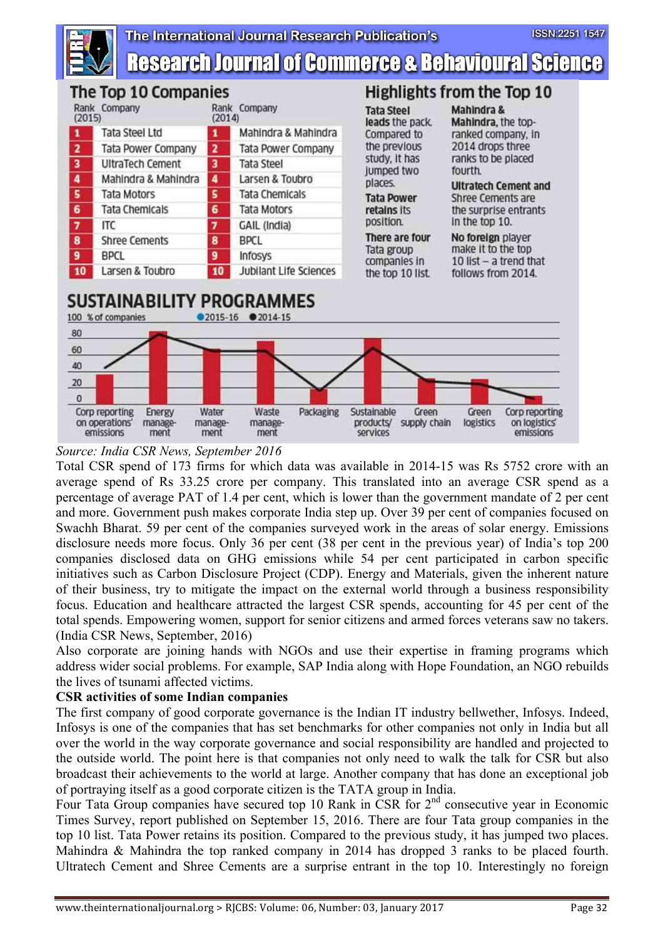

# **Research Journal of Commerce & Behavioural Science**



## *Source: India CSR News, September 2016*

Total CSR spend of 173 firms for which data was available in 2014-15 was Rs 5752 crore with an average spend of Rs 33.25 crore per company. This translated into an average CSR spend as a percentage of average PAT of 1.4 per cent, which is lower than the government mandate of 2 per cent and more. Government push makes corporate India step up. Over 39 per cent of companies focused on Swachh Bharat. 59 per cent of the companies surveyed work in the areas of solar energy. Emissions disclosure needs more focus. Only 36 per cent (38 per cent in the previous year) of India's top 200 companies disclosed data on GHG emissions while 54 per cent participated in carbon specific initiatives such as Carbon Disclosure Project (CDP). Energy and Materials, given the inherent nature of their business, try to mitigate the impact on the external world through a business responsibility focus. Education and healthcare attracted the largest CSR spends, accounting for 45 per cent of the total spends. Empowering women, support for senior citizens and armed forces veterans saw no takers. (India CSR News, September, 2016)

Also corporate are joining hands with NGOs and use their expertise in framing programs which address wider social problems. For example, SAP India along with Hope Foundation, an NGO rebuilds the lives of tsunami affected victims.

## **CSR activities of some Indian companies**

The first company of good corporate governance is the Indian IT industry bellwether, Infosys. Indeed, Infosys is one of the companies that has set benchmarks for other companies not only in India but all over the world in the way corporate governance and social responsibility are handled and projected to the outside world. The point here is that companies not only need to walk the talk for CSR but also broadcast their achievements to the world at large. Another company that has done an exceptional job of portraying itself as a good corporate citizen is the TATA group in India.

Four Tata Group companies have secured top 10 Rank in CSR for 2<sup>nd</sup> consecutive year in Economic Times Survey, report published on September 15, 2016. There are four Tata group companies in the top 10 list. Tata Power retains its position. Compared to the previous study, it has jumped two places. Mahindra & Mahindra the top ranked company in 2014 has dropped 3 ranks to be placed fourth. Ultratech Cement and Shree Cements are a surprise entrant in the top 10. Interestingly no foreign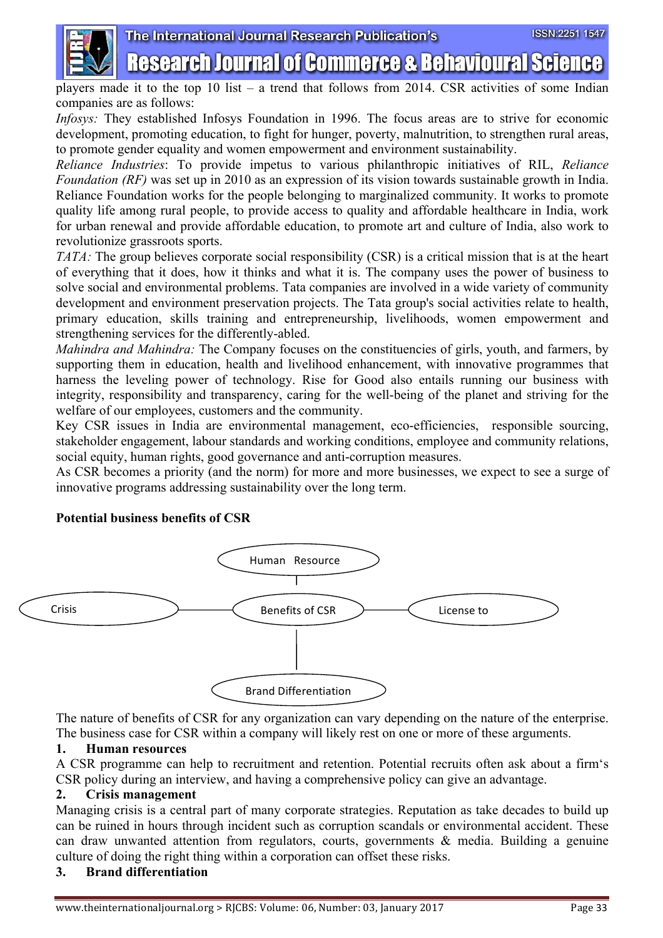

## The International Journal Research Publication's **Research Journal of Commerce & Behavioural Science**

players made it to the top 10 list – a trend that follows from 2014. CSR activities of some Indian companies are as follows:

*Infosys:* They established Infosys Foundation in 1996. The focus areas are to strive for economic development, promoting education, to fight for hunger, poverty, malnutrition, to strengthen rural areas, to promote gender equality and women empowerment and environment sustainability.

*Reliance Industries*: To provide impetus to various philanthropic initiatives of RIL, *Reliance Foundation (RF)* was set up in 2010 as an expression of its vision towards sustainable growth in India. Reliance Foundation works for the people belonging to marginalized community. It works to promote quality life among rural people, to provide access to quality and affordable healthcare in India, work for urban renewal and provide affordable education, to promote art and culture of India, also work to revolutionize grassroots sports.

*TATA:* The group believes corporate social responsibility (CSR) is a critical mission that is at the heart of everything that it does, how it thinks and what it is. The company uses the power of business to solve social and environmental problems. Tata companies are involved in a wide variety of community development and environment preservation projects. The Tata group's social activities relate to health, primary education, skills training and entrepreneurship, livelihoods, women empowerment and strengthening services for the differently-abled.

*Mahindra and Mahindra:* The Company focuses on the constituencies of girls, youth, and farmers, by supporting them in education, health and livelihood enhancement, with innovative programmes that harness the leveling power of technology. Rise for Good also entails running our business with integrity, responsibility and transparency, caring for the well-being of the planet and striving for the welfare of our employees, customers and the community.

Key CSR issues in India are environmental management, eco-efficiencies, responsible sourcing, stakeholder engagement, labour standards and working conditions, employee and community relations, social equity, human rights, good governance and anti-corruption measures.

As CSR becomes a priority (and the norm) for more and more businesses, we expect to see a surge of innovative programs addressing sustainability over the long term.

### **Potential business benefits of CSR**



The nature of benefits of CSR for any organization can vary depending on the nature of the enterprise. The business case for CSR within a company will likely rest on one or more of these arguments.

### **1. Human resources**

A CSR programme can help to recruitment and retention. Potential recruits often ask about a firm's CSR policy during an interview, and having a comprehensive policy can give an advantage.

### **2. Crisis management**

Managing crisis is a central part of many corporate strategies. Reputation as take decades to build up can be ruined in hours through incident such as corruption scandals or environmental accident. These can draw unwanted attention from regulators, courts, governments & media. Building a genuine culture of doing the right thing within a corporation can offset these risks.

### **3. Brand differentiation**